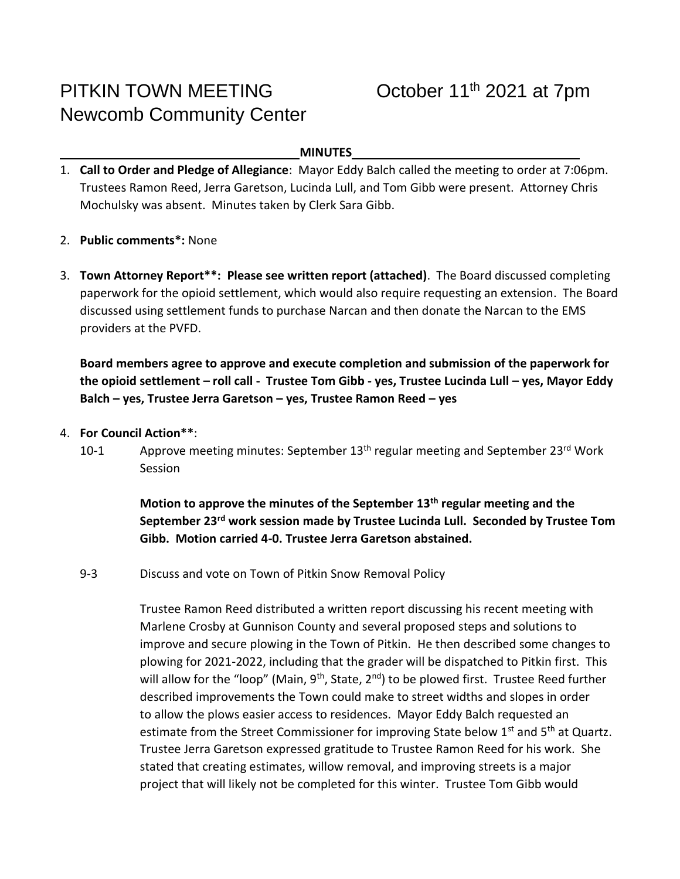# PITKIN TOWN MEETING Newcomb Community Center

#### **MINUTES**

- 1. **Call to Order and Pledge of Allegiance**: Mayor Eddy Balch called the meeting to order at 7:06pm. Trustees Ramon Reed, Jerra Garetson, Lucinda Lull, and Tom Gibb were present. Attorney Chris Mochulsky was absent. Minutes taken by Clerk Sara Gibb.
- 2. **Public comments\*:** None
- 3. **Town Attorney Report\*\*: Please see written report (attached)**. The Board discussed completing paperwork for the opioid settlement, which would also require requesting an extension. The Board discussed using settlement funds to purchase Narcan and then donate the Narcan to the EMS providers at the PVFD.

**Board members agree to approve and execute completion and submission of the paperwork for the opioid settlement – roll call - Trustee Tom Gibb - yes, Trustee Lucinda Lull – yes, Mayor Eddy Balch – yes, Trustee Jerra Garetson – yes, Trustee Ramon Reed – yes**

- 4. **For Council Action\*\***:
	- 10-1 Approve meeting minutes: September 13<sup>th</sup> regular meeting and September 23<sup>rd</sup> Work **Session**

**Motion to approve the minutes of the September 13th regular meeting and the September 23rd work session made by Trustee Lucinda Lull. Seconded by Trustee Tom Gibb. Motion carried 4-0. Trustee Jerra Garetson abstained.** 

9-3 Discuss and vote on Town of Pitkin Snow Removal Policy

Trustee Ramon Reed distributed a written report discussing his recent meeting with Marlene Crosby at Gunnison County and several proposed steps and solutions to improve and secure plowing in the Town of Pitkin. He then described some changes to plowing for 2021-2022, including that the grader will be dispatched to Pitkin first. This will allow for the "loop" (Main,  $9^{th}$ , State,  $2^{nd}$ ) to be plowed first. Trustee Reed further described improvements the Town could make to street widths and slopes in order to allow the plows easier access to residences. Mayor Eddy Balch requested an estimate from the Street Commissioner for improving State below  $1<sup>st</sup>$  and  $5<sup>th</sup>$  at Quartz. Trustee Jerra Garetson expressed gratitude to Trustee Ramon Reed for his work. She stated that creating estimates, willow removal, and improving streets is a major project that will likely not be completed for this winter. Trustee Tom Gibb would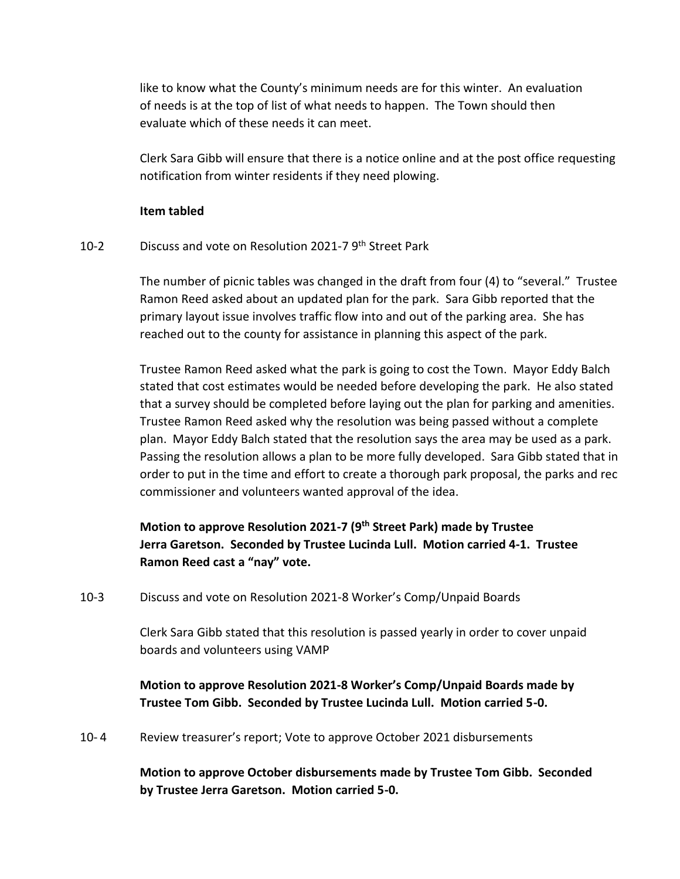like to know what the County's minimum needs are for this winter. An evaluation of needs is at the top of list of what needs to happen. The Town should then evaluate which of these needs it can meet.

Clerk Sara Gibb will ensure that there is a notice online and at the post office requesting notification from winter residents if they need plowing.

#### **Item tabled**

#### 10-2 Discuss and vote on Resolution 2021-7 9<sup>th</sup> Street Park

The number of picnic tables was changed in the draft from four (4) to "several." Trustee Ramon Reed asked about an updated plan for the park. Sara Gibb reported that the primary layout issue involves traffic flow into and out of the parking area. She has reached out to the county for assistance in planning this aspect of the park.

Trustee Ramon Reed asked what the park is going to cost the Town. Mayor Eddy Balch stated that cost estimates would be needed before developing the park. He also stated that a survey should be completed before laying out the plan for parking and amenities. Trustee Ramon Reed asked why the resolution was being passed without a complete plan. Mayor Eddy Balch stated that the resolution says the area may be used as a park. Passing the resolution allows a plan to be more fully developed. Sara Gibb stated that in order to put in the time and effort to create a thorough park proposal, the parks and rec commissioner and volunteers wanted approval of the idea.

# **Motion to approve Resolution 2021-7 (9th Street Park) made by Trustee Jerra Garetson. Seconded by Trustee Lucinda Lull. Motion carried 4-1. Trustee Ramon Reed cast a "nay" vote.**

10-3 Discuss and vote on Resolution 2021-8 Worker's Comp/Unpaid Boards

Clerk Sara Gibb stated that this resolution is passed yearly in order to cover unpaid boards and volunteers using VAMP

## **Motion to approve Resolution 2021-8 Worker's Comp/Unpaid Boards made by Trustee Tom Gibb. Seconded by Trustee Lucinda Lull. Motion carried 5-0.**

10- 4 Review treasurer's report; Vote to approve October 2021 disbursements

## **Motion to approve October disbursements made by Trustee Tom Gibb. Seconded by Trustee Jerra Garetson. Motion carried 5-0.**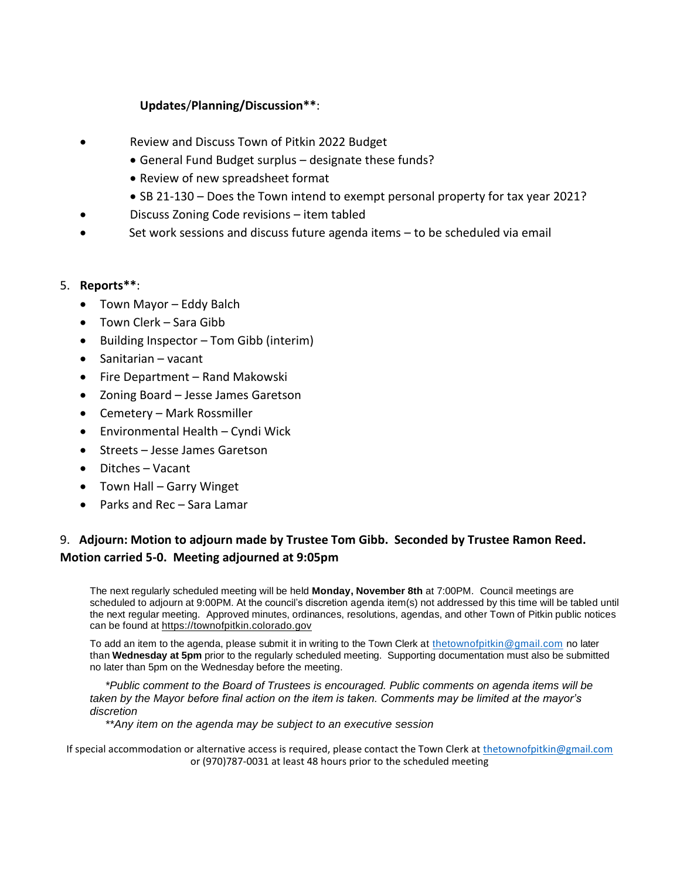### **Updates**/**Planning/Discussion\*\***:

- Review and Discuss Town of Pitkin 2022 Budget
	- General Fund Budget surplus designate these funds?
	- Review of new spreadsheet format
	- SB 21-130 Does the Town intend to exempt personal property for tax year 2021?
- Discuss Zoning Code revisions item tabled
- Set work sessions and discuss future agenda items to be scheduled via email

#### 5. **Reports\*\***:

- Town Mayor Eddy Balch
- Town Clerk Sara Gibb
- Building Inspector Tom Gibb (interim)
- Sanitarian vacant
- Fire Department Rand Makowski
- Zoning Board Jesse James Garetson
- Cemetery Mark Rossmiller
- Environmental Health Cyndi Wick
- Streets Jesse James Garetson
- Ditches Vacant
- Town Hall Garry Winget
- Parks and Rec Sara Lamar

## 9. **Adjourn: Motion to adjourn made by Trustee Tom Gibb. Seconded by Trustee Ramon Reed. Motion carried 5-0. Meeting adjourned at 9:05pm**

The next regularly scheduled meeting will be held **Monday, November 8th** at 7:00PM. Council meetings are scheduled to adjourn at 9:00PM. At the council's discretion agenda item(s) not addressed by this time will be tabled until the next regular meeting. Approved minutes, ordinances, resolutions, agendas, and other Town of Pitkin public notices can be found at https://townofpitkin.colorado.gov

To add an item to the agenda, please submit it in writing to the Town Clerk at [thetownofpitkin@gmail.com](mailto:thetownofpitkin@gmail.com) no later than **Wednesday at 5pm** prior to the regularly scheduled meeting. Supporting documentation must also be submitted no later than 5pm on the Wednesday before the meeting.

*\*Public comment to the Board of Trustees is encouraged. Public comments on agenda items will be taken by the Mayor before final action on the item is taken. Comments may be limited at the mayor's discretion*

*\*\*Any item on the agenda may be subject to an executive session*

If special accommodation or alternative access is required, please contact the Town Clerk at [thetownofpitkin@gmail.com](mailto:thetownofpitkin@gmail.com) or (970)787-0031 at least 48 hours prior to the scheduled meeting